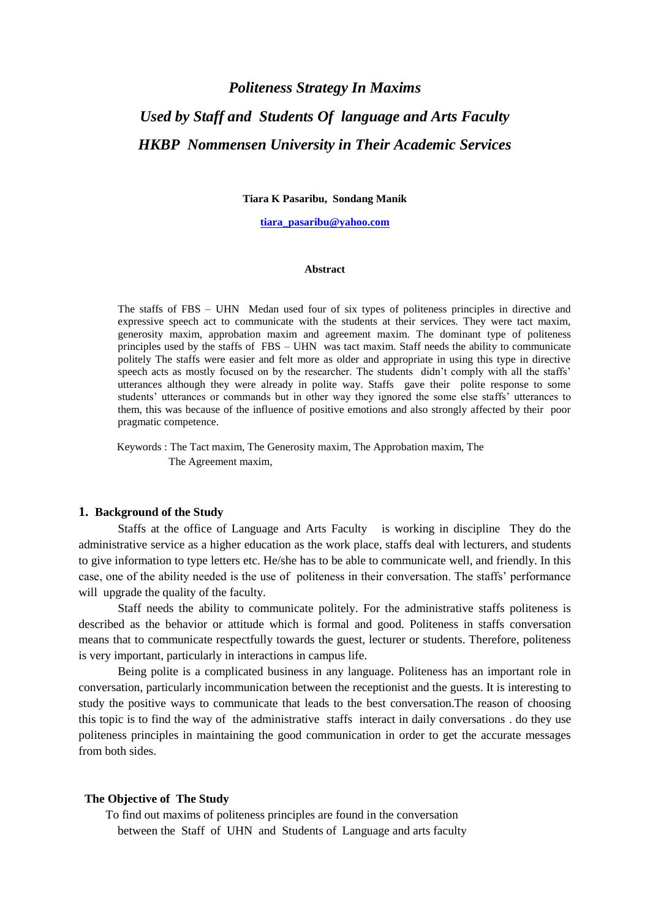# *Politeness Strategy In Maxims Used by Staff and Students Of language and Arts Faculty HKBP Nommensen University in Their Academic Services*

**Tiara K Pasaribu, Sondang Manik**

**[tiara\\_pasaribu@yahoo.com](mailto:tiara_pasaribu@yahoo.com)**

#### **Abstract**

The staffs of FBS – UHN Medan used four of six types of politeness principles in directive and expressive speech act to communicate with the students at their services. They were tact maxim, generosity maxim, approbation maxim and agreement maxim. The dominant type of politeness principles used by the staffs of FBS – UHN was tact maxim. Staff needs the ability to communicate politely The staffs were easier and felt more as older and appropriate in using this type in directive speech acts as mostly focused on by the researcher. The students didn't comply with all the staffs' utterances although they were already in polite way. Staffs gave their polite response to some students' utterances or commands but in other way they ignored the some else staffs' utterances to them, this was because of the influence of positive emotions and also strongly affected by their poor pragmatic competence.

 Keywords : The Tact maxim, The Generosity maxim, The Approbation maxim, The The Agreement maxim,

#### **1. Background of the Study**

Staffs at the office of Language and Arts Faculty is working in discipline They do the administrative service as a higher education as the work place, staffs deal with lecturers, and students to give information to type letters etc. He/she has to be able to communicate well, and friendly. In this case, one of the ability needed is the use of politeness in their conversation. The staffs' performance will upgrade the quality of the faculty.

Staff needs the ability to communicate politely. For the administrative staffs politeness is described as the behavior or attitude which is formal and good. Politeness in staffs conversation means that to communicate respectfully towards the guest, lecturer or students. Therefore, politeness is very important, particularly in interactions in campus life.

Being polite is a complicated business in any language. Politeness has an important role in conversation, particularly incommunication between the receptionist and the guests. It is interesting to study the positive ways to communicate that leads to the best conversation.The reason of choosing this topic is to find the way of the administrative staffs interact in daily conversations . do they use politeness principles in maintaining the good communication in order to get the accurate messages from both sides.

#### **The Objective of The Study**

 To find out maxims of politeness principles are found in the conversation between the Staff of UHN and Students of Language and arts faculty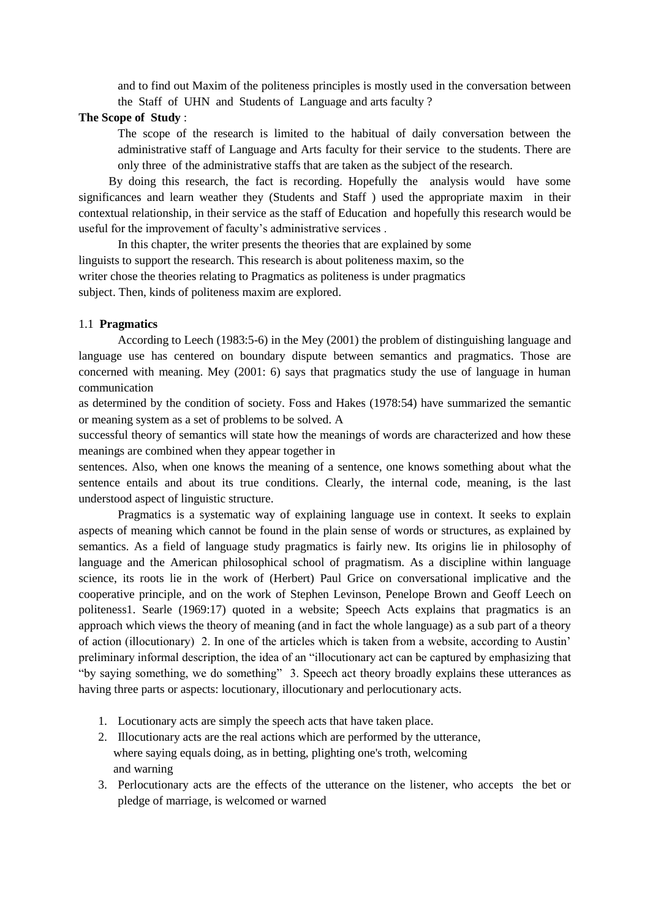and to find out Maxim of the politeness principles is mostly used in the conversation between the Staff of UHN and Students of Language and arts faculty ?

# **The Scope of Study** :

The scope of the research is limited to the habitual of daily conversation between the administrative staff of Language and Arts faculty for their service to the students. There are only three of the administrative staffs that are taken as the subject of the research.

 By doing this research, the fact is recording. Hopefully the analysis would have some significances and learn weather they (Students and Staff ) used the appropriate maxim in their contextual relationship, in their service as the staff of Education and hopefully this research would be useful for the improvement of faculty's administrative services .

In this chapter, the writer presents the theories that are explained by some linguists to support the research. This research is about politeness maxim, so the writer chose the theories relating to Pragmatics as politeness is under pragmatics subject. Then, kinds of politeness maxim are explored.

## 1.1 **Pragmatics**

According to Leech (1983:5-6) in the Mey (2001) the problem of distinguishing language and language use has centered on boundary dispute between semantics and pragmatics. Those are concerned with meaning. Mey (2001: 6) says that pragmatics study the use of language in human communication

as determined by the condition of society. Foss and Hakes (1978:54) have summarized the semantic or meaning system as a set of problems to be solved. A

successful theory of semantics will state how the meanings of words are characterized and how these meanings are combined when they appear together in

sentences. Also, when one knows the meaning of a sentence, one knows something about what the sentence entails and about its true conditions. Clearly, the internal code, meaning, is the last understood aspect of linguistic structure.

Pragmatics is a systematic way of explaining language use in context. It seeks to explain aspects of meaning which cannot be found in the plain sense of words or structures, as explained by semantics. As a field of language study pragmatics is fairly new. Its origins lie in philosophy of language and the American philosophical school of pragmatism. As a discipline within language science, its roots lie in the work of (Herbert) Paul Grice on conversational implicative and the cooperative principle, and on the work of Stephen Levinson, Penelope Brown and Geoff Leech on politeness1. Searle (1969:17) quoted in a website; Speech Acts explains that pragmatics is an approach which views the theory of meaning (and in fact the whole language) as a sub part of a theory of action (illocutionary) 2. In one of the articles which is taken from a website, according to Austin' preliminary informal description, the idea of an "illocutionary act can be captured by emphasizing that "by saying something, we do something" 3. Speech act theory broadly explains these utterances as having three parts or aspects: locutionary, illocutionary and perlocutionary acts.

- 1. Locutionary acts are simply the speech acts that have taken place.
- 2. Illocutionary acts are the real actions which are performed by the utterance, where saying equals doing, as in betting, plighting one's troth, welcoming and warning
- 3. Perlocutionary acts are the effects of the utterance on the listener, who accepts the bet or pledge of marriage, is welcomed or warned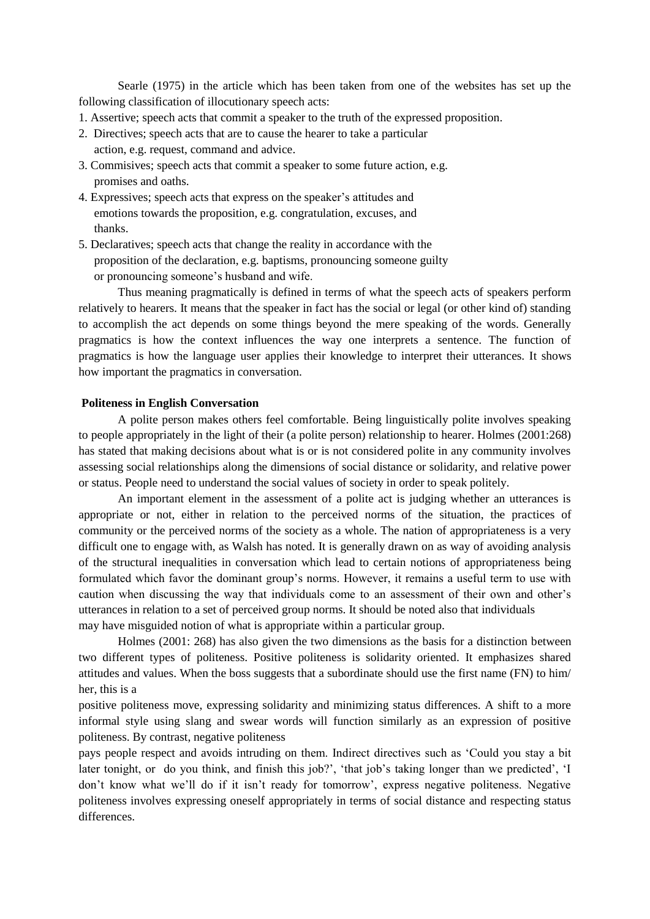Searle (1975) in the article which has been taken from one of the websites has set up the following classification of illocutionary speech acts:

- 1. Assertive; speech acts that commit a speaker to the truth of the expressed proposition.
- 2. Directives; speech acts that are to cause the hearer to take a particular action, e.g. request, command and advice.
- 3. Commisives; speech acts that commit a speaker to some future action, e.g. promises and oaths.
- 4. Expressives; speech acts that express on the speaker's attitudes and emotions towards the proposition, e.g. congratulation, excuses, and thanks.
- 5. Declaratives; speech acts that change the reality in accordance with the proposition of the declaration, e.g. baptisms, pronouncing someone guilty or pronouncing someone's husband and wife.

Thus meaning pragmatically is defined in terms of what the speech acts of speakers perform relatively to hearers. It means that the speaker in fact has the social or legal (or other kind of) standing to accomplish the act depends on some things beyond the mere speaking of the words. Generally pragmatics is how the context influences the way one interprets a sentence. The function of pragmatics is how the language user applies their knowledge to interpret their utterances. It shows how important the pragmatics in conversation.

## **Politeness in English Conversation**

A polite person makes others feel comfortable. Being linguistically polite involves speaking to people appropriately in the light of their (a polite person) relationship to hearer. Holmes (2001:268) has stated that making decisions about what is or is not considered polite in any community involves assessing social relationships along the dimensions of social distance or solidarity, and relative power or status. People need to understand the social values of society in order to speak politely.

An important element in the assessment of a polite act is judging whether an utterances is appropriate or not, either in relation to the perceived norms of the situation, the practices of community or the perceived norms of the society as a whole. The nation of appropriateness is a very difficult one to engage with, as Walsh has noted. It is generally drawn on as way of avoiding analysis of the structural inequalities in conversation which lead to certain notions of appropriateness being formulated which favor the dominant group's norms. However, it remains a useful term to use with caution when discussing the way that individuals come to an assessment of their own and other's utterances in relation to a set of perceived group norms. It should be noted also that individuals may have misguided notion of what is appropriate within a particular group.

Holmes (2001: 268) has also given the two dimensions as the basis for a distinction between two different types of politeness. Positive politeness is solidarity oriented. It emphasizes shared attitudes and values. When the boss suggests that a subordinate should use the first name (FN) to him/ her, this is a

positive politeness move, expressing solidarity and minimizing status differences. A shift to a more informal style using slang and swear words will function similarly as an expression of positive politeness. By contrast, negative politeness

pays people respect and avoids intruding on them. Indirect directives such as 'Could you stay a bit later tonight, or do you think, and finish this job?', 'that job's taking longer than we predicted', 'I don't know what we'll do if it isn't ready for tomorrow', express negative politeness. Negative politeness involves expressing oneself appropriately in terms of social distance and respecting status differences.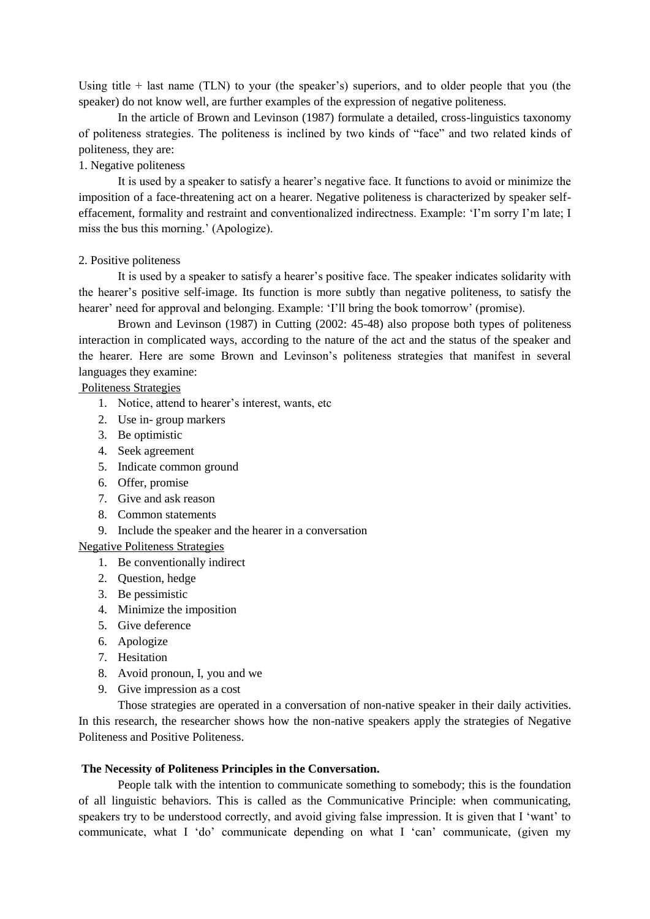Using title  $+$  last name (TLN) to your (the speaker's) superiors, and to older people that you (the speaker) do not know well, are further examples of the expression of negative politeness.

In the article of Brown and Levinson (1987) formulate a detailed, cross-linguistics taxonomy of politeness strategies. The politeness is inclined by two kinds of "face" and two related kinds of politeness, they are:

# 1. Negative politeness

It is used by a speaker to satisfy a hearer's negative face. It functions to avoid or minimize the imposition of a face-threatening act on a hearer. Negative politeness is characterized by speaker selfeffacement, formality and restraint and conventionalized indirectness. Example: 'I'm sorry I'm late; I miss the bus this morning.' (Apologize).

## 2. Positive politeness

It is used by a speaker to satisfy a hearer's positive face. The speaker indicates solidarity with the hearer's positive self-image. Its function is more subtly than negative politeness, to satisfy the hearer' need for approval and belonging. Example: 'I'll bring the book tomorrow' (promise).

Brown and Levinson (1987) in Cutting (2002: 45-48) also propose both types of politeness interaction in complicated ways, according to the nature of the act and the status of the speaker and the hearer. Here are some Brown and Levinson's politeness strategies that manifest in several languages they examine:

# Politeness Strategies

- 1. Notice, attend to hearer's interest, wants, etc
- 2. Use in- group markers
- 3. Be optimistic
- 4. Seek agreement
- 5. Indicate common ground
- 6. Offer, promise
- 7. Give and ask reason
- 8. Common statements
- 9. Include the speaker and the hearer in a conversation

# Negative Politeness Strategies

- 1. Be conventionally indirect
- 2. Question, hedge
- 3. Be pessimistic
- 4. Minimize the imposition
- 5. Give deference
- 6. Apologize
- 7. Hesitation
- 8. Avoid pronoun, I, you and we
- 9. Give impression as a cost

Those strategies are operated in a conversation of non-native speaker in their daily activities. In this research, the researcher shows how the non-native speakers apply the strategies of Negative Politeness and Positive Politeness.

## **The Necessity of Politeness Principles in the Conversation.**

People talk with the intention to communicate something to somebody; this is the foundation of all linguistic behaviors. This is called as the Communicative Principle: when communicating, speakers try to be understood correctly, and avoid giving false impression. It is given that I 'want' to communicate, what I 'do' communicate depending on what I 'can' communicate, (given my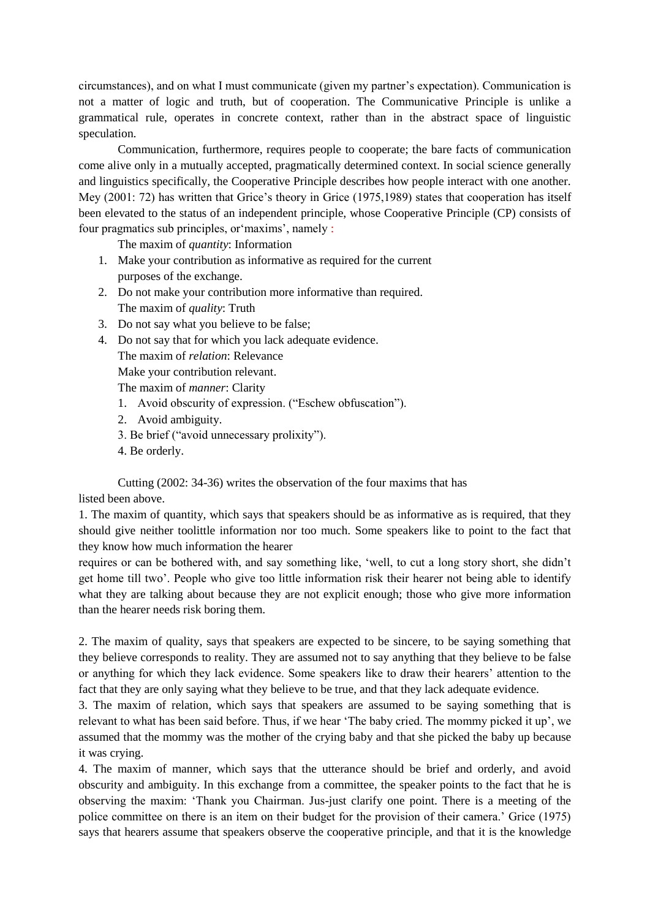circumstances), and on what I must communicate (given my partner's expectation). Communication is not a matter of logic and truth, but of cooperation. The Communicative Principle is unlike a grammatical rule, operates in concrete context, rather than in the abstract space of linguistic speculation.

Communication, furthermore, requires people to cooperate; the bare facts of communication come alive only in a mutually accepted, pragmatically determined context. In social science generally and linguistics specifically, the Cooperative Principle describes how people interact with one another. Mey (2001: 72) has written that Grice's theory in Grice (1975,1989) states that cooperation has itself been elevated to the status of an independent principle, whose Cooperative Principle (CP) consists of four pragmatics sub principles, or'maxims', namely :

The maxim of *quantity*: Information

- 1. Make your contribution as informative as required for the current purposes of the exchange.
- 2. Do not make your contribution more informative than required. The maxim of *quality*: Truth
- 3. Do not say what you believe to be false;
- 4. Do not say that for which you lack adequate evidence.

The maxim of *relation*: Relevance

Make your contribution relevant.

The maxim of *manner*: Clarity

- 1. Avoid obscurity of expression. ("Eschew obfuscation").
- 2. Avoid ambiguity.
- 3. Be brief ("avoid unnecessary prolixity").
- 4. Be orderly.

Cutting (2002: 34-36) writes the observation of the four maxims that has listed been above.

1. The maxim of quantity, which says that speakers should be as informative as is required, that they should give neither toolittle information nor too much. Some speakers like to point to the fact that they know how much information the hearer

requires or can be bothered with, and say something like, 'well, to cut a long story short, she didn't get home till two'. People who give too little information risk their hearer not being able to identify what they are talking about because they are not explicit enough; those who give more information than the hearer needs risk boring them.

2. The maxim of quality, says that speakers are expected to be sincere, to be saying something that they believe corresponds to reality. They are assumed not to say anything that they believe to be false or anything for which they lack evidence. Some speakers like to draw their hearers' attention to the fact that they are only saying what they believe to be true, and that they lack adequate evidence.

3. The maxim of relation, which says that speakers are assumed to be saying something that is relevant to what has been said before. Thus, if we hear 'The baby cried. The mommy picked it up', we assumed that the mommy was the mother of the crying baby and that she picked the baby up because it was crying.

4. The maxim of manner, which says that the utterance should be brief and orderly, and avoid obscurity and ambiguity. In this exchange from a committee, the speaker points to the fact that he is observing the maxim: 'Thank you Chairman. Jus-just clarify one point. There is a meeting of the police committee on there is an item on their budget for the provision of their camera.' Grice (1975) says that hearers assume that speakers observe the cooperative principle, and that it is the knowledge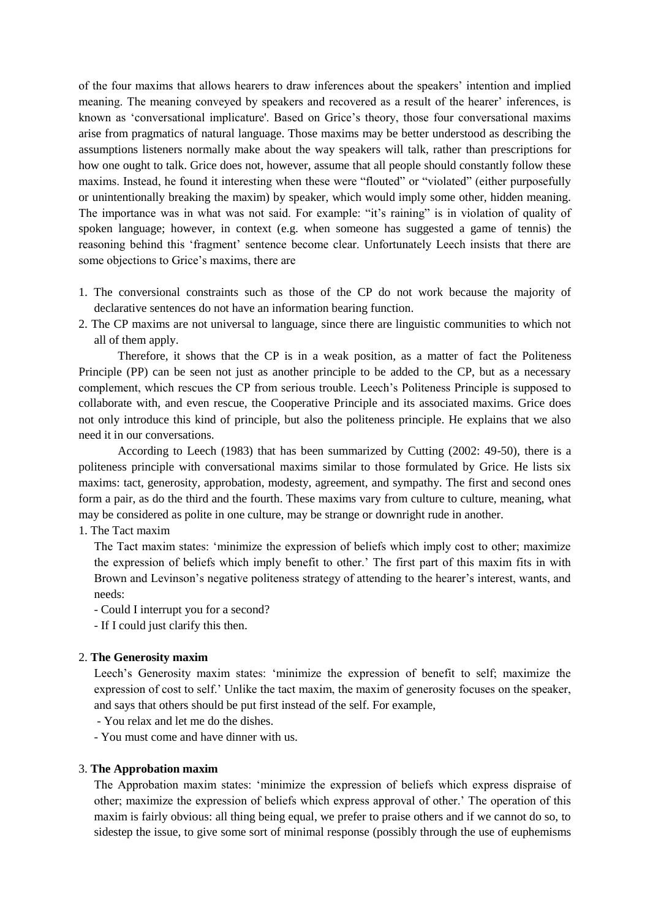of the four maxims that allows hearers to draw inferences about the speakers' intention and implied meaning. The meaning conveyed by speakers and recovered as a result of the hearer' inferences, is known as 'conversational implicature'. Based on Grice's theory, those four conversational maxims arise from pragmatics of natural language. Those maxims may be better understood as describing the assumptions listeners normally make about the way speakers will talk, rather than prescriptions for how one ought to talk. Grice does not, however, assume that all people should constantly follow these maxims. Instead, he found it interesting when these were "flouted" or "violated" (either purposefully or unintentionally breaking the maxim) by speaker, which would imply some other, hidden meaning. The importance was in what was not said. For example: "it's raining" is in violation of quality of spoken language; however, in context (e.g. when someone has suggested a game of tennis) the reasoning behind this 'fragment' sentence become clear. Unfortunately Leech insists that there are some objections to Grice's maxims, there are

- 1. The conversional constraints such as those of the CP do not work because the majority of declarative sentences do not have an information bearing function.
- 2. The CP maxims are not universal to language, since there are linguistic communities to which not all of them apply.

Therefore, it shows that the CP is in a weak position, as a matter of fact the Politeness Principle (PP) can be seen not just as another principle to be added to the CP, but as a necessary complement, which rescues the CP from serious trouble. Leech's Politeness Principle is supposed to collaborate with, and even rescue, the Cooperative Principle and its associated maxims. Grice does not only introduce this kind of principle, but also the politeness principle. He explains that we also need it in our conversations.

According to Leech (1983) that has been summarized by Cutting (2002: 49-50), there is a politeness principle with conversational maxims similar to those formulated by Grice. He lists six maxims: tact, generosity, approbation, modesty, agreement, and sympathy. The first and second ones form a pair, as do the third and the fourth. These maxims vary from culture to culture, meaning, what may be considered as polite in one culture, may be strange or downright rude in another.

1. The Tact maxim

The Tact maxim states: 'minimize the expression of beliefs which imply cost to other; maximize the expression of beliefs which imply benefit to other.' The first part of this maxim fits in with Brown and Levinson's negative politeness strategy of attending to the hearer's interest, wants, and needs:

- Could I interrupt you for a second?

- If I could just clarify this then.

#### 2. **The Generosity maxim**

Leech's Generosity maxim states: 'minimize the expression of benefit to self; maximize the expression of cost to self.' Unlike the tact maxim, the maxim of generosity focuses on the speaker, and says that others should be put first instead of the self. For example,

- You relax and let me do the dishes.

- You must come and have dinner with us.

## 3. **The Approbation maxim**

The Approbation maxim states: 'minimize the expression of beliefs which express dispraise of other; maximize the expression of beliefs which express approval of other.' The operation of this maxim is fairly obvious: all thing being equal, we prefer to praise others and if we cannot do so, to sidestep the issue, to give some sort of minimal response (possibly through the use of euphemisms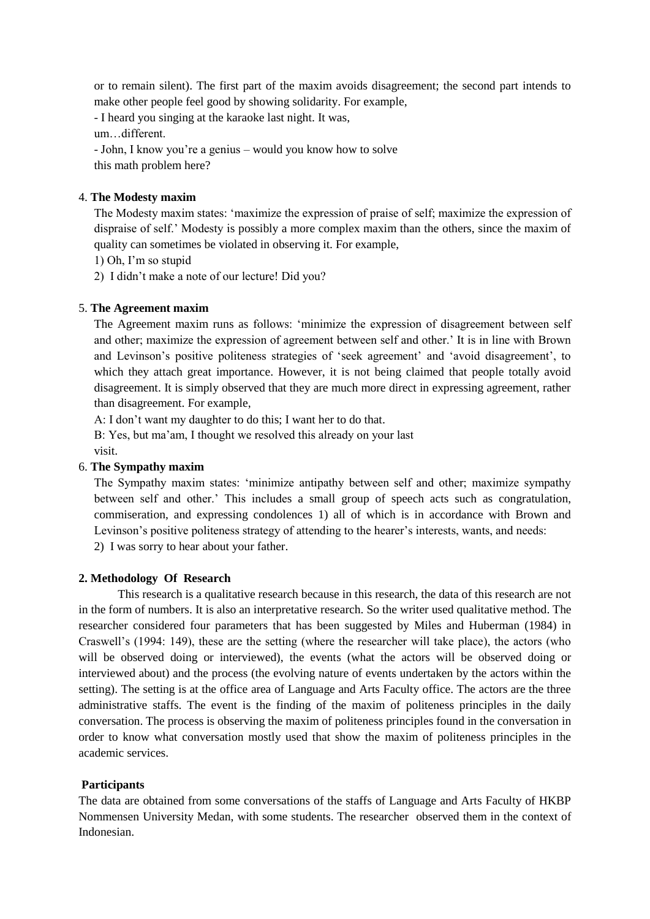or to remain silent). The first part of the maxim avoids disagreement; the second part intends to make other people feel good by showing solidarity. For example,

- I heard you singing at the karaoke last night. It was,

um…different.

- John, I know you're a genius – would you know how to solve this math problem here?

# 4. **The Modesty maxim**

The Modesty maxim states: 'maximize the expression of praise of self; maximize the expression of dispraise of self.' Modesty is possibly a more complex maxim than the others, since the maxim of quality can sometimes be violated in observing it. For example,

1) Oh, I'm so stupid

2) I didn't make a note of our lecture! Did you?

# 5. **The Agreement maxim**

The Agreement maxim runs as follows: 'minimize the expression of disagreement between self and other; maximize the expression of agreement between self and other.' It is in line with Brown and Levinson's positive politeness strategies of 'seek agreement' and 'avoid disagreement', to which they attach great importance. However, it is not being claimed that people totally avoid disagreement. It is simply observed that they are much more direct in expressing agreement, rather than disagreement. For example,

A: I don't want my daughter to do this; I want her to do that.

B: Yes, but ma'am, I thought we resolved this already on your last visit.

# 6. **The Sympathy maxim**

The Sympathy maxim states: 'minimize antipathy between self and other; maximize sympathy between self and other.' This includes a small group of speech acts such as congratulation, commiseration, and expressing condolences 1) all of which is in accordance with Brown and Levinson's positive politeness strategy of attending to the hearer's interests, wants, and needs:

2) I was sorry to hear about your father.

# **2. Methodology Of Research**

This research is a qualitative research because in this research, the data of this research are not in the form of numbers. It is also an interpretative research. So the writer used qualitative method. The researcher considered four parameters that has been suggested by Miles and Huberman (1984) in Craswell's (1994: 149), these are the setting (where the researcher will take place), the actors (who will be observed doing or interviewed), the events (what the actors will be observed doing or interviewed about) and the process (the evolving nature of events undertaken by the actors within the setting). The setting is at the office area of Language and Arts Faculty office. The actors are the three administrative staffs. The event is the finding of the maxim of politeness principles in the daily conversation. The process is observing the maxim of politeness principles found in the conversation in order to know what conversation mostly used that show the maxim of politeness principles in the academic services.

# **Participants**

The data are obtained from some conversations of the staffs of Language and Arts Faculty of HKBP Nommensen University Medan, with some students. The researcher observed them in the context of Indonesian.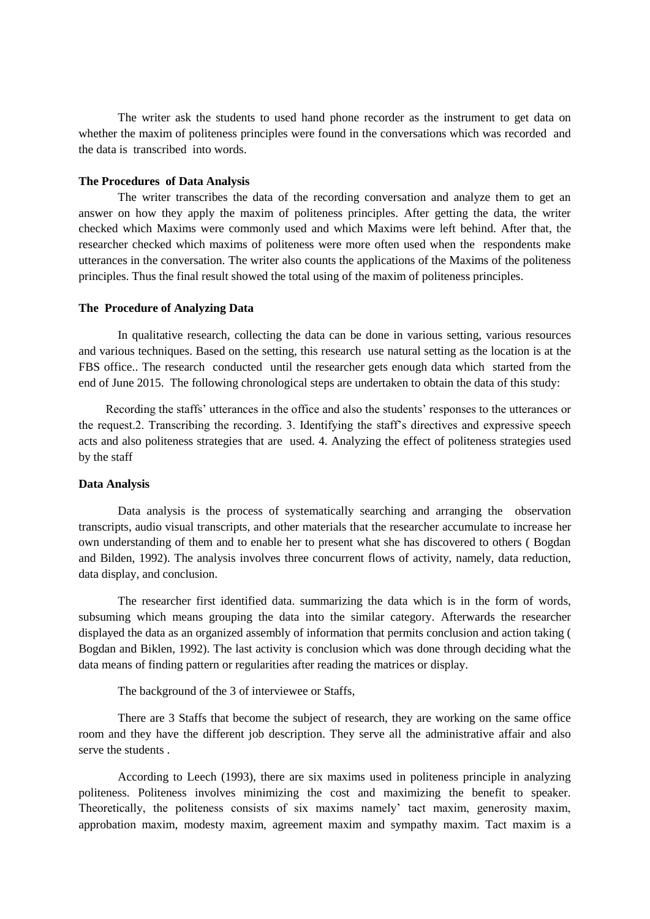The writer ask the students to used hand phone recorder as the instrument to get data on whether the maxim of politeness principles were found in the conversations which was recorded and the data is transcribed into words.

#### **The Procedures of Data Analysis**

The writer transcribes the data of the recording conversation and analyze them to get an answer on how they apply the maxim of politeness principles. After getting the data, the writer checked which Maxims were commonly used and which Maxims were left behind. After that, the researcher checked which maxims of politeness were more often used when the respondents make utterances in the conversation. The writer also counts the applications of the Maxims of the politeness principles. Thus the final result showed the total using of the maxim of politeness principles.

## **The Procedure of Analyzing Data**

In qualitative research, collecting the data can be done in various setting, various resources and various techniques. Based on the setting, this research use natural setting as the location is at the FBS office.. The research conducted until the researcher gets enough data which started from the end of June 2015. The following chronological steps are undertaken to obtain the data of this study:

 Recording the staffs' utterances in the office and also the students' responses to the utterances or the request.2. Transcribing the recording. 3. Identifying the staff's directives and expressive speech acts and also politeness strategies that are used. 4. Analyzing the effect of politeness strategies used by the staff

# **Data Analysis**

Data analysis is the process of systematically searching and arranging the observation transcripts, audio visual transcripts, and other materials that the researcher accumulate to increase her own understanding of them and to enable her to present what she has discovered to others ( Bogdan and Bilden, 1992). The analysis involves three concurrent flows of activity, namely, data reduction, data display, and conclusion.

The researcher first identified data. summarizing the data which is in the form of words, subsuming which means grouping the data into the similar category. Afterwards the researcher displayed the data as an organized assembly of information that permits conclusion and action taking ( Bogdan and Biklen, 1992). The last activity is conclusion which was done through deciding what the data means of finding pattern or regularities after reading the matrices or display.

The background of the 3 of interviewee or Staffs,

There are 3 Staffs that become the subject of research, they are working on the same office room and they have the different job description. They serve all the administrative affair and also serve the students .

According to Leech (1993), there are six maxims used in politeness principle in analyzing politeness. Politeness involves minimizing the cost and maximizing the benefit to speaker. Theoretically, the politeness consists of six maxims namely' tact maxim, generosity maxim, approbation maxim, modesty maxim, agreement maxim and sympathy maxim. Tact maxim is a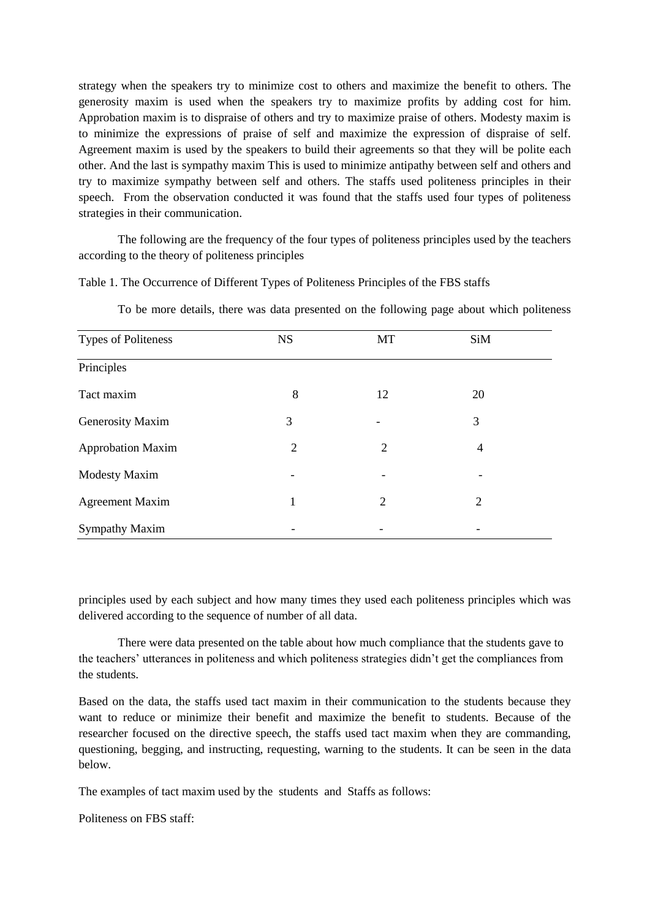strategy when the speakers try to minimize cost to others and maximize the benefit to others. The generosity maxim is used when the speakers try to maximize profits by adding cost for him. Approbation maxim is to dispraise of others and try to maximize praise of others. Modesty maxim is to minimize the expressions of praise of self and maximize the expression of dispraise of self. Agreement maxim is used by the speakers to build their agreements so that they will be polite each other. And the last is sympathy maxim This is used to minimize antipathy between self and others and try to maximize sympathy between self and others. The staffs used politeness principles in their speech. From the observation conducted it was found that the staffs used four types of politeness strategies in their communication.

The following are the frequency of the four types of politeness principles used by the teachers according to the theory of politeness principles

Table 1. The Occurrence of Different Types of Politeness Principles of the FBS staffs

| <b>Types of Politeness</b> | <b>NS</b> | MT             | SiM            |  |
|----------------------------|-----------|----------------|----------------|--|
| Principles                 |           |                |                |  |
| Tact maxim                 | 8         | 12             | 20             |  |
| Generosity Maxim           | 3         |                | 3              |  |
| <b>Approbation Maxim</b>   | 2         | $\overline{2}$ | 4              |  |
| <b>Modesty Maxim</b>       |           |                |                |  |
| <b>Agreement Maxim</b>     | 1         | $\overline{2}$ | $\overline{2}$ |  |
| Sympathy Maxim             |           |                |                |  |

To be more details, there was data presented on the following page about which politeness

principles used by each subject and how many times they used each politeness principles which was delivered according to the sequence of number of all data.

There were data presented on the table about how much compliance that the students gave to the teachers' utterances in politeness and which politeness strategies didn't get the compliances from the students.

Based on the data, the staffs used tact maxim in their communication to the students because they want to reduce or minimize their benefit and maximize the benefit to students. Because of the researcher focused on the directive speech, the staffs used tact maxim when they are commanding, questioning, begging, and instructing, requesting, warning to the students. It can be seen in the data below.

The examples of tact maxim used by the students and Staffs as follows:

Politeness on FBS staff: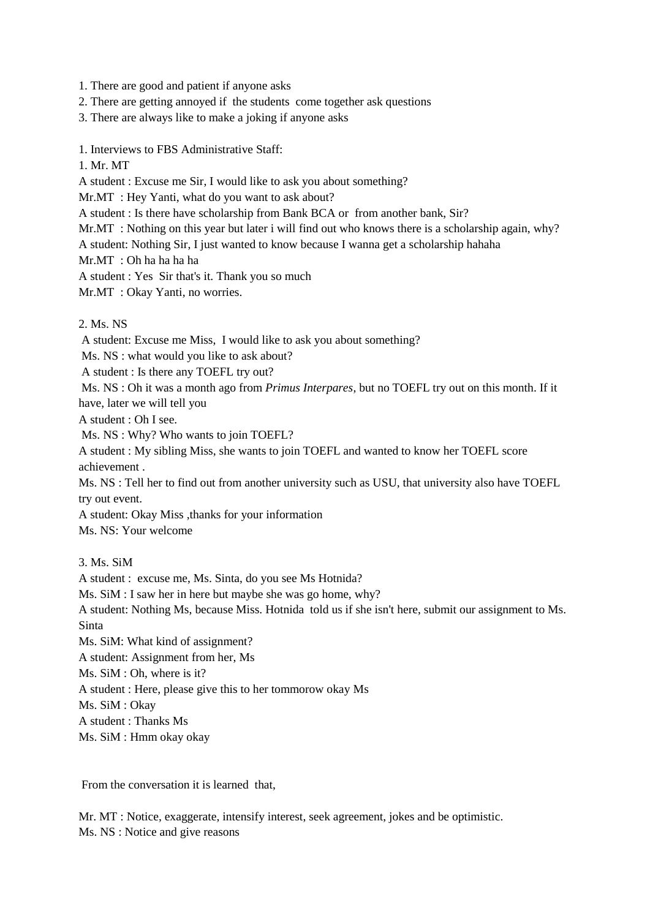1. There are good and patient if anyone asks

2. There are getting annoyed if the students come together ask questions

3. There are always like to make a joking if anyone asks

1. Interviews to FBS Administrative Staff:

1. Mr. MT

A student : Excuse me Sir, I would like to ask you about something?

Mr.MT : Hey Yanti, what do you want to ask about?

A student : Is there have scholarship from Bank BCA or from another bank, Sir?

Mr.MT : Nothing on this year but later i will find out who knows there is a scholarship again, why?

A student: Nothing Sir, I just wanted to know because I wanna get a scholarship hahaha

Mr.MT : Oh ha ha ha ha

A student : Yes Sir that's it. Thank you so much

Mr.MT : Okay Yanti, no worries.

2. Ms. NS

A student: Excuse me Miss, I would like to ask you about something?

Ms. NS : what would you like to ask about?

A student : Is there any TOEFL try out?

Ms. NS : Oh it was a month ago from *Primus Interpares*, but no TOEFL try out on this month. If it have, later we will tell you

A student : Oh I see.

Ms. NS : Why? Who wants to join TOEFL?

A student : My sibling Miss, she wants to join TOEFL and wanted to know her TOEFL score achievement .

Ms. NS : Tell her to find out from another university such as USU, that university also have TOEFL try out event.

A student: Okay Miss ,thanks for your information

Ms. NS: Your welcome

3. Ms. SiM

A student : excuse me, Ms. Sinta, do you see Ms Hotnida? Ms. SiM : I saw her in here but maybe she was go home, why? A student: Nothing Ms, because Miss. Hotnida told us if she isn't here, submit our assignment to Ms. Sinta Ms. SiM: What kind of assignment? A student: Assignment from her, Ms Ms. SiM : Oh, where is it? A student : Here, please give this to her tommorow okay Ms Ms. SiM : Okay A student : Thanks Ms Ms. SiM : Hmm okay okay

From the conversation it is learned that,

Mr. MT : Notice, exaggerate, intensify interest, seek agreement, jokes and be optimistic. Ms. NS : Notice and give reasons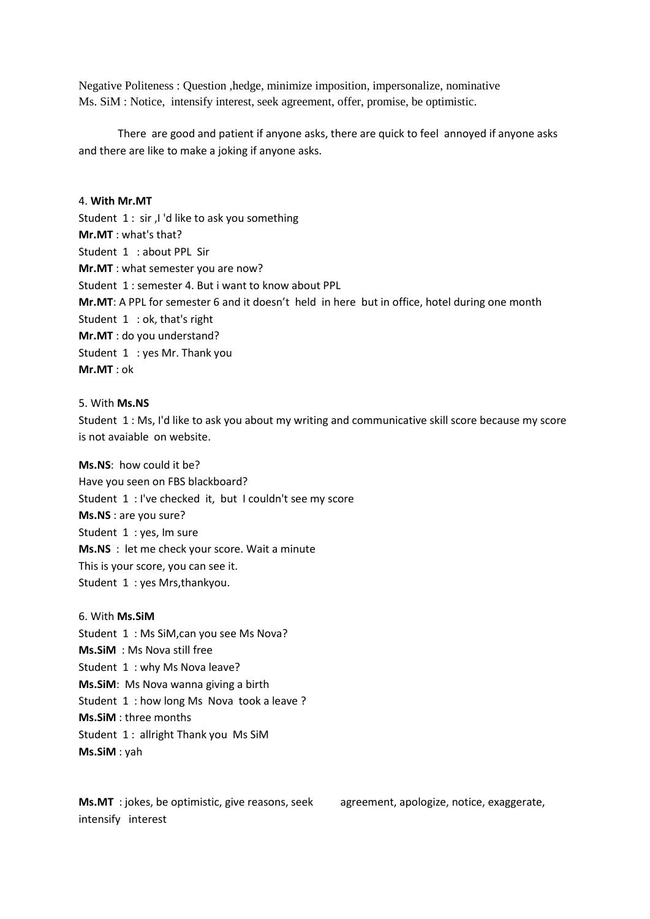Negative Politeness : Question ,hedge, minimize imposition, impersonalize, nominative Ms. SiM : Notice, intensify interest, seek agreement, offer, promise, be optimistic.

There are good and patient if anyone asks, there are quick to feel annoyed if anyone asks and there are like to make a joking if anyone asks.

## 4. **With Mr.MT**

Student 1 : sir ,I 'd like to ask you something **Mr.MT** : what's that? Student 1 : about PPL Sir **Mr.MT** : what semester you are now? Student 1 : semester 4. But i want to know about PPL **Mr.MT**: A PPL for semester 6 and it doesn't held in here but in office, hotel during one month Student 1 : ok, that's right **Mr.MT** : do you understand? Student 1 : yes Mr. Thank you **Mr.MT** : ok

# 5. With **Ms.NS**

Student 1 : Ms, I'd like to ask you about my writing and communicative skill score because my score is not avaiable on website.

**Ms.NS**: how could it be? Have you seen on FBS blackboard? Student 1 : I've checked it, but I couldn't see my score **Ms.NS** : are you sure? Student 1 : yes, Im sure **Ms.NS** : let me check your score. Wait a minute This is your score, you can see it. Student 1 : yes Mrs,thankyou.

6. With **Ms.SiM** Student 1 : Ms SiM,can you see Ms Nova? **Ms.SiM** : Ms Nova still free Student 1: why Ms Nova leave? **Ms.SiM**: Ms Nova wanna giving a birth Student 1 : how long Ms Nova took a leave ? **Ms.SiM** : three months Student 1 : allright Thank you Ms SiM **Ms.SiM** : yah

**Ms.MT** : jokes, be optimistic, give reasons, seek agreement, apologize, notice, exaggerate, intensify interest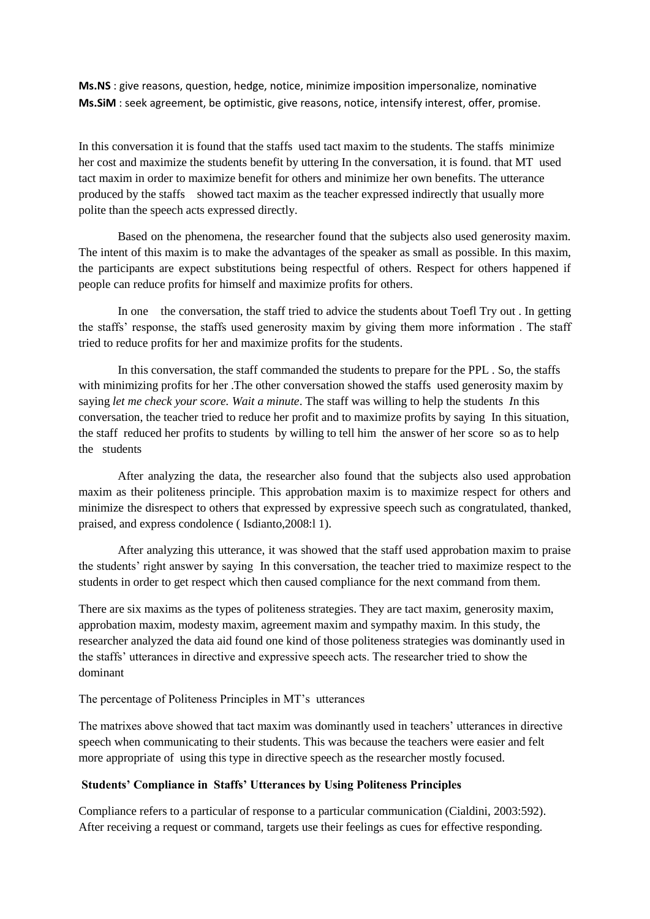**Ms.NS** : give reasons, question, hedge, notice, minimize imposition impersonalize, nominative **Ms.SiM** : seek agreement, be optimistic, give reasons, notice, intensify interest, offer, promise.

In this conversation it is found that the staffs used tact maxim to the students. The staffs minimize her cost and maximize the students benefit by uttering In the conversation, it is found. that MT used tact maxim in order to maximize benefit for others and minimize her own benefits. The utterance produced by the staffs showed tact maxim as the teacher expressed indirectly that usually more polite than the speech acts expressed directly.

Based on the phenomena, the researcher found that the subjects also used generosity maxim. The intent of this maxim is to make the advantages of the speaker as small as possible. In this maxim, the participants are expect substitutions being respectful of others. Respect for others happened if people can reduce profits for himself and maximize profits for others.

In one the conversation, the staff tried to advice the students about Toefl Try out . In getting the staffs' response, the staffs used generosity maxim by giving them more information . The staff tried to reduce profits for her and maximize profits for the students.

In this conversation, the staff commanded the students to prepare for the PPL . So, the staffs with minimizing profits for her .The other conversation showed the staffs used generosity maxim by saying *let me check your score. Wait a minute*. The staff was willing to help the students *I*n this conversation, the teacher tried to reduce her profit and to maximize profits by saying In this situation, the staff reduced her profits to students by willing to tell him the answer of her score so as to help the students

After analyzing the data, the researcher also found that the subjects also used approbation maxim as their politeness principle. This approbation maxim is to maximize respect for others and minimize the disrespect to others that expressed by expressive speech such as congratulated, thanked, praised, and express condolence ( Isdianto,2008:l 1).

After analyzing this utterance, it was showed that the staff used approbation maxim to praise the students' right answer by saying In this conversation, the teacher tried to maximize respect to the students in order to get respect which then caused compliance for the next command from them.

There are six maxims as the types of politeness strategies. They are tact maxim, generosity maxim, approbation maxim, modesty maxim, agreement maxim and sympathy maxim. In this study, the researcher analyzed the data aid found one kind of those politeness strategies was dominantly used in the staffs' utterances in directive and expressive speech acts. The researcher tried to show the dominant

The percentage of Politeness Principles in MT's utterances

The matrixes above showed that tact maxim was dominantly used in teachers' utterances in directive speech when communicating to their students. This was because the teachers were easier and felt more appropriate of using this type in directive speech as the researcher mostly focused.

# **Students' Compliance in Staffs' Utterances by Using Politeness Principles**

Compliance refers to a particular of response to a particular communication (Cialdini, 2003:592). After receiving a request or command, targets use their feelings as cues for effective responding.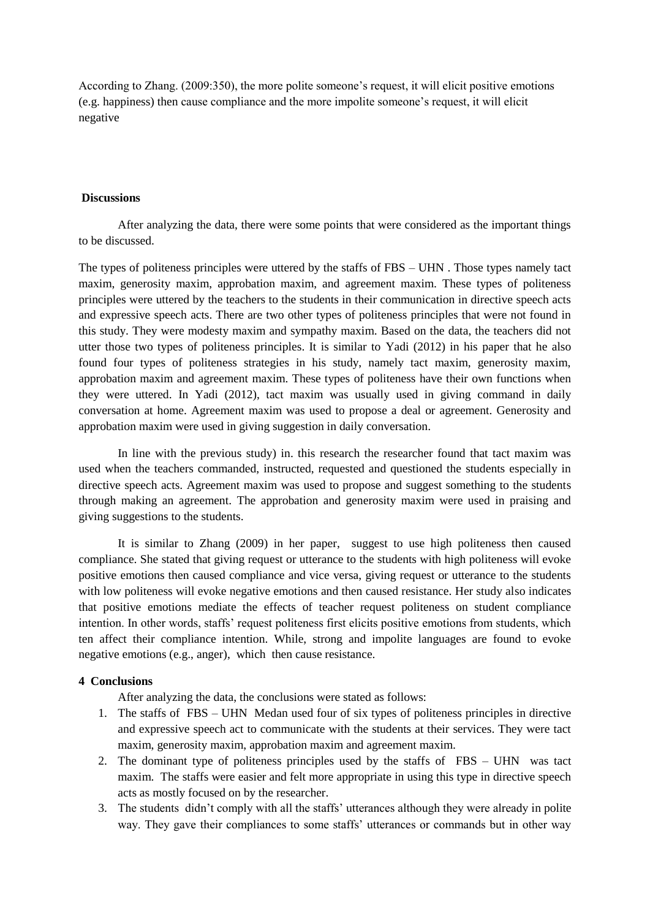According to Zhang. (2009:350), the more polite someone's request, it will elicit positive emotions (e.g. happiness) then cause compliance and the more impolite someone's request, it will elicit negative

## **Discussions**

After analyzing the data, there were some points that were considered as the important things to be discussed.

The types of politeness principles were uttered by the staffs of FBS – UHN . Those types namely tact maxim, generosity maxim, approbation maxim, and agreement maxim. These types of politeness principles were uttered by the teachers to the students in their communication in directive speech acts and expressive speech acts. There are two other types of politeness principles that were not found in this study. They were modesty maxim and sympathy maxim. Based on the data, the teachers did not utter those two types of politeness principles. It is similar to Yadi (2012) in his paper that he also found four types of politeness strategies in his study, namely tact maxim, generosity maxim, approbation maxim and agreement maxim. These types of politeness have their own functions when they were uttered. In Yadi (2012), tact maxim was usually used in giving command in daily conversation at home. Agreement maxim was used to propose a deal or agreement. Generosity and approbation maxim were used in giving suggestion in daily conversation.

In line with the previous study) in. this research the researcher found that tact maxim was used when the teachers commanded, instructed, requested and questioned the students especially in directive speech acts. Agreement maxim was used to propose and suggest something to the students through making an agreement. The approbation and generosity maxim were used in praising and giving suggestions to the students.

It is similar to Zhang (2009) in her paper, suggest to use high politeness then caused compliance. She stated that giving request or utterance to the students with high politeness will evoke positive emotions then caused compliance and vice versa, giving request or utterance to the students with low politeness will evoke negative emotions and then caused resistance. Her study also indicates that positive emotions mediate the effects of teacher request politeness on student compliance intention. In other words, staffs' request politeness first elicits positive emotions from students, which ten affect their compliance intention. While, strong and impolite languages are found to evoke negative emotions (e.g., anger), which then cause resistance.

## **4 Conclusions**

After analyzing the data, the conclusions were stated as follows:

- 1. The staffs of FBS UHN Medan used four of six types of politeness principles in directive and expressive speech act to communicate with the students at their services. They were tact maxim, generosity maxim, approbation maxim and agreement maxim.
- 2. The dominant type of politeness principles used by the staffs of FBS UHN was tact maxim. The staffs were easier and felt more appropriate in using this type in directive speech acts as mostly focused on by the researcher.
- 3. The students didn't comply with all the staffs' utterances although they were already in polite way. They gave their compliances to some staffs' utterances or commands but in other way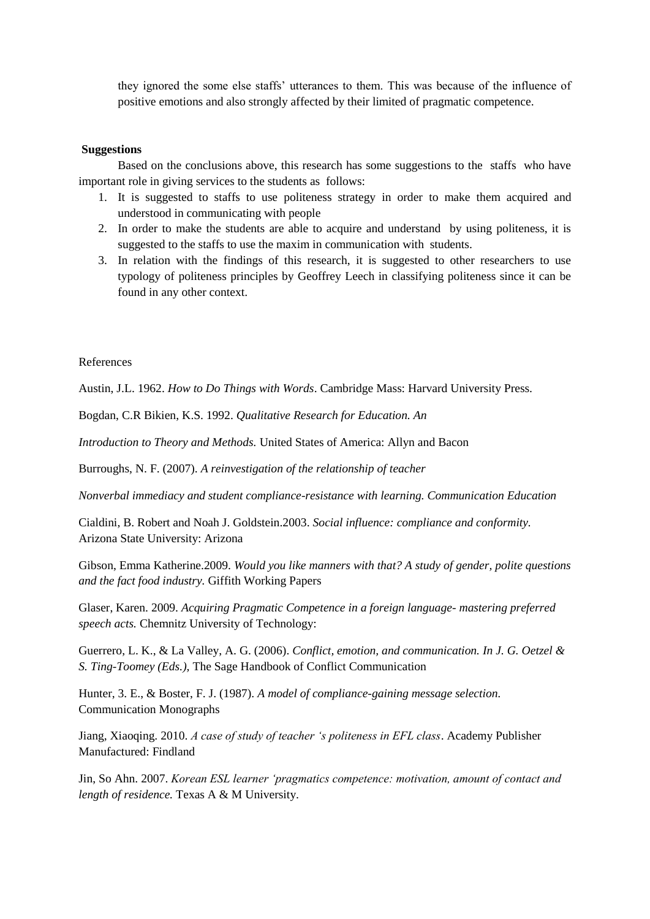they ignored the some else staffs' utterances to them. This was because of the influence of positive emotions and also strongly affected by their limited of pragmatic competence.

## **Suggestions**

Based on the conclusions above, this research has some suggestions to the staffs who have important role in giving services to the students as follows:

- 1. It is suggested to staffs to use politeness strategy in order to make them acquired and understood in communicating with people
- 2. In order to make the students are able to acquire and understand by using politeness, it is suggested to the staffs to use the maxim in communication with students.
- 3. In relation with the findings of this research, it is suggested to other researchers to use typology of politeness principles by Geoffrey Leech in classifying politeness since it can be found in any other context.

References

Austin, J.L. 1962. *How to Do Things with Words*. Cambridge Mass: Harvard University Press.

Bogdan, C.R Bikien, K.S. 1992. *Qualitative Research for Education. An*

*Introduction to Theory and Methods.* United States of America: Allyn and Bacon

Burroughs, N. F. (2007). *A reinvestigation of the relationship of teacher*

*Nonverbal immediacy and student compliance-resistance with learning. Communication Education*

Cialdini, B. Robert and Noah J. Goldstein.2003. *Social influence: compliance and conformity.* Arizona State University: Arizona

Gibson, Emma Katherine.2009. *Would you like manners with that? A study of gender, polite questions and the fact food industry.* Giffith Working Papers

Glaser, Karen. 2009. *Acquiring Pragmatic Competence in a foreign language- mastering preferred speech acts.* Chemnitz University of Technology:

Guerrero, L. K., & La Valley, A. G. (2006). *Conflict, emotion, and communication. In J. G. Oetzel & S. Ting-Toomey (Eds.),* The Sage Handbook of Conflict Communication

Hunter, 3. E., & Boster, F. J. (1987). *A model of compliance-gaining message selection.* Communication Monographs

Jiang, Xiaoqing. 2010. *A case of study of teacher 's politeness in EFL class*. Academy Publisher Manufactured: Findland

Jin, So Ahn. 2007. *Korean ESL learner 'pragmatics competence: motivation, amount of contact and length of residence.* Texas A & M University.